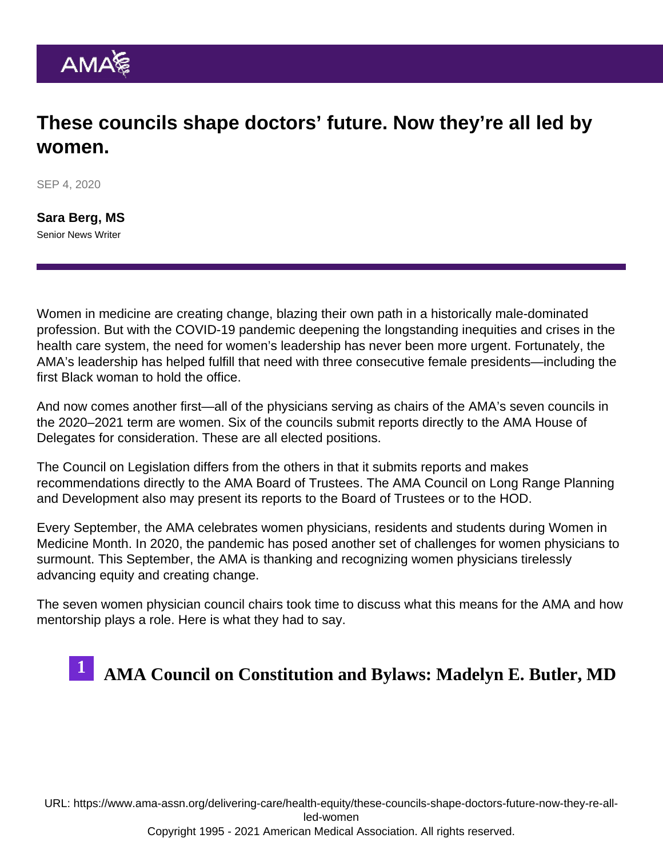#### These councils shape doctors' future. Now they're all led by women.

SEP 4, 2020

[Sara Berg, MS](https://www.ama-assn.org/news-leadership-viewpoints/authors-news-leadership-viewpoints/sara-berg-ms) Senior News Writer

Women in medicine are creating change, blazing their own path in a historically male-dominated profession. But with the COVID-19 pandemic deepening the longstanding inequities and crises in the health care system, the need for women's leadership has never been more urgent. Fortunately, the AMA's leadership has helped fulfill that need with three consecutive female presidents—including the first Black woman to hold the office.

And now comes another first—all of the physicians serving as chairs of the [AMA's seven councils](https://www.ama-assn.org/councils) in the 2020–2021 term are women. Six of the councils submit reports directly to the AMA House of Delegates for consideration. These are all elected positions.

The Council on Legislation differs from the others in that it submits reports and makes recommendations directly to the [AMA Board of Trustees](https://www.ama-assn.org/about/board-trustees/board-trustees-members). The AMA Council on Long Range Planning and Development also may present its reports to the Board of Trustees or to the HOD.

Every September, the AMA celebrates women physicians, residents and students during [Women in](https://www.ama-assn.org/amaone/women-medicine-month) [Medicine Month.](https://www.ama-assn.org/amaone/women-medicine-month) In 2020, the pandemic has posed another set of challenges for women physicians to surmount. This September, the AMA is thanking and recognizing women physicians tirelessly advancing equity and creating change.

The seven women physician council chairs took time to discuss what this means for the AMA and how mentorship plays a role. Here is what they had to say.

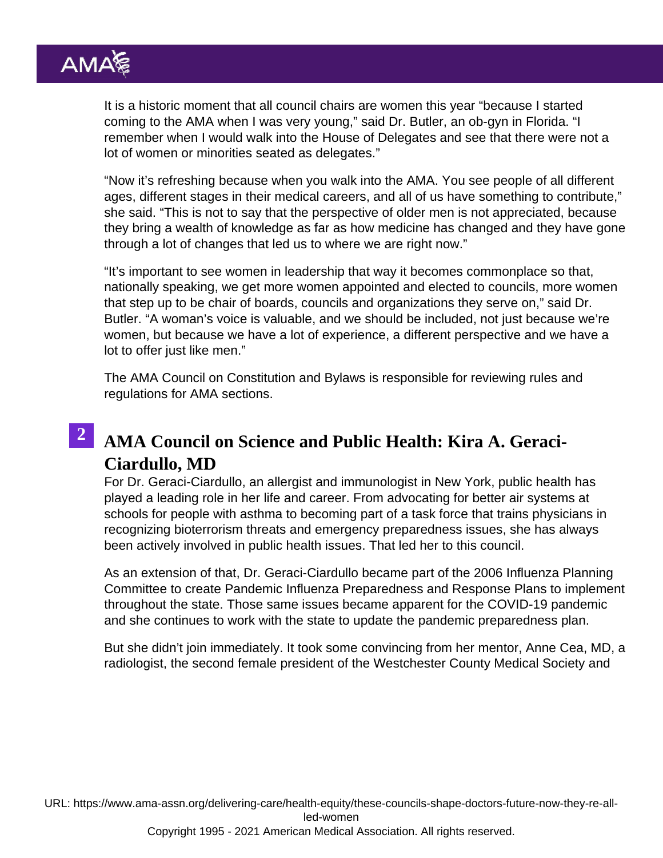It is a historic moment that all council chairs are women this year "because I started coming to the AMA when I was very young," said Dr. Butler, an ob-gyn in Florida. "I remember when I would walk into the House of Delegates and see that there were not a lot of women or minorities seated as delegates."

"Now it's refreshing because when you walk into the AMA. You see people of all different ages, different stages in their medical careers, and all of us have something to contribute," she said. "This is not to say that the perspective of older men is not appreciated, because they bring a wealth of knowledge as far as how medicine has changed and they have gone through a lot of changes that led us to where we are right now."

"It's important to see women in leadership that way it becomes commonplace so that, nationally speaking, we get more women appointed and elected to councils, more women that step up to be chair of boards, councils and organizations they serve on," said Dr. Butler. "A woman's voice is valuable, and we should be included, not just because we're women, but because we have a lot of experience, a different perspective and we have a lot to offer just like men."

The [AMA Council on Constitution and Bylaws](https://www.ama-assn.org/councils/council-constitution-bylaws) is responsible for reviewing rules and regulations for AMA sections.

#### 2 [AMA Council on Science and Public Health: Kira A. Geraci-](https://www.ama-assn.org/councils/council-science-public-health/members-council-science-public-health)[Ciardullo, MD](https://www.ama-assn.org/councils/council-science-public-health/members-council-science-public-health)

For Dr. Geraci-Ciardullo, an allergist and immunologist in New York, public health has played a leading role in her life and career. From advocating for better air systems at schools for people with asthma to becoming part of a task force that trains physicians in recognizing bioterrorism threats and emergency preparedness issues, she has always been actively involved in public health issues. That led her to this council.

As an extension of that, Dr. Geraci-Ciardullo became part of the 2006 Influenza Planning Committee to create Pandemic Influenza Preparedness and Response Plans to implement throughout the state. Those same issues became apparent for the COVID-19 pandemic and she continues to work with the state to update the pandemic preparedness plan.

But she didn't join immediately. It took some convincing from her mentor, Anne Cea, MD, a radiologist, the second female president of the Westchester County Medical Society and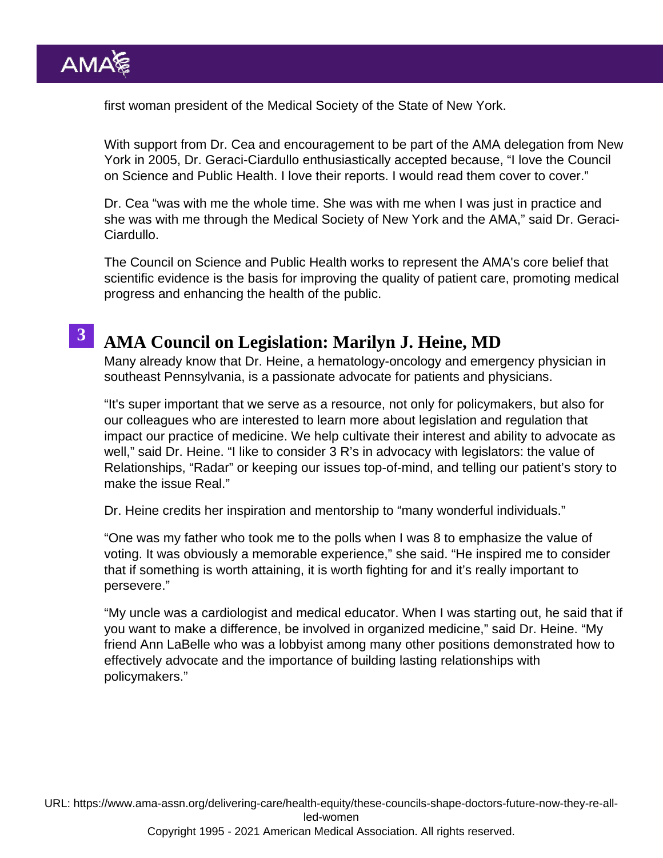first woman president of the Medical Society of the State of New York.

With support from Dr. Cea and encouragement to be part of the AMA delegation from New York in 2005, Dr. Geraci-Ciardullo enthusiastically accepted because, "I love the Council on Science and Public Health. I love their reports. I would read them cover to cover."

Dr. Cea "was with me the whole time. She was with me when I was just in practice and she was with me through the Medical Society of New York and the AMA," said Dr. Geraci-Ciardullo.

The [Council on Science and Public Health](https://www.ama-assn.org/councils/council-science-public-health) works to represent the AMA's core belief that scientific evidence is the basis for improving the quality of patient care, promoting medical progress and enhancing the health of the public.

### 3 [AMA Council on Legislation: Marilyn J. Heine, MD](https://www.ama-assn.org/councils/council-legislation/members-council-legislation-col)

Many already know that Dr. Heine, a hematology-oncology and emergency physician in southeast Pennsylvania, is a passionate advocate for patients and physicians.

"It's super important that we serve as a resource, not only for policymakers, but also for our colleagues who are interested to learn more about legislation and regulation that impact our practice of medicine. We help cultivate their interest and ability to advocate as well," said Dr. Heine. "I like to consider 3 R's in advocacy with legislators: the value of Relationships, "Radar" or keeping our issues top-of-mind, and telling our patient's story to make the issue Real."

Dr. Heine credits her inspiration and mentorship to "many wonderful individuals."

"One was my father who took me to the polls when I was 8 to emphasize the value of voting. It was obviously a memorable experience," she said. "He inspired me to consider that if something is worth attaining, it is worth fighting for and it's really important to persevere."

"My uncle was a cardiologist and medical educator. When I was starting out, he said that if you want to make a difference, be involved in organized medicine," said Dr. Heine. "My friend Ann LaBelle who was a lobbyist among many other positions demonstrated how to effectively advocate and the importance of building lasting relationships with policymakers."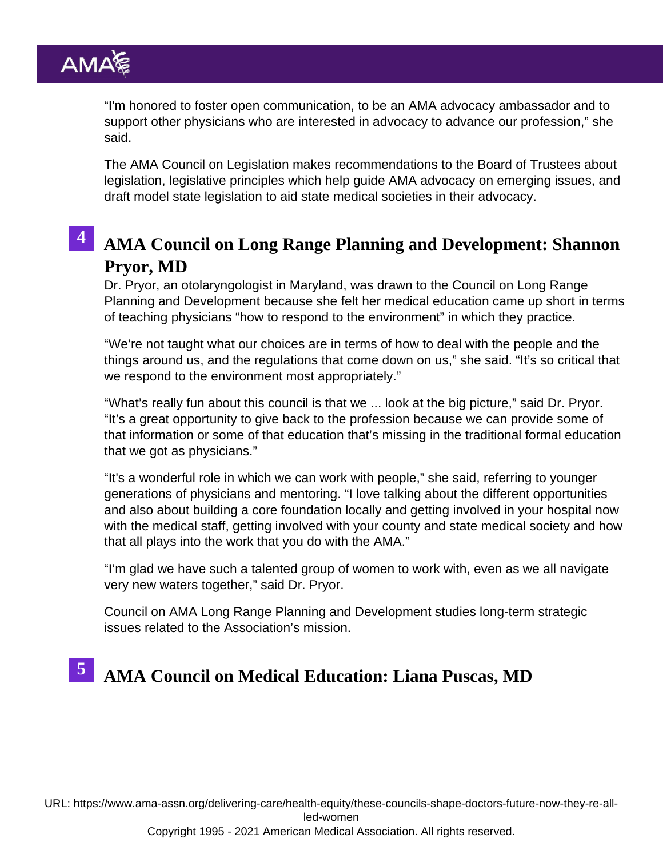"I'm honored to foster open communication, to be an AMA advocacy ambassador and to support other physicians who are interested in advocacy to advance our profession," she said.

The [AMA Council on Legislation](https://www.ama-assn.org/councils/council-legislation) makes recommendations to the Board of Trustees about legislation, legislative principles which help guide AMA advocacy on emerging issues, and draft model state legislation to aid state medical societies in their advocacy.

#### 4 [AMA Council on Long Range Planning and Development: Shanno](https://www.ama-assn.org/councils/council-long-range-planning-development/members-council-long-range-planning-development)n [Pryor, MD](https://www.ama-assn.org/councils/council-long-range-planning-development/members-council-long-range-planning-development)

Dr. Pryor, an otolaryngologist in Maryland, was drawn to the Council on Long Range Planning and Development because she felt her medical education came up short in terms of teaching physicians "how to respond to the environment" in which they practice.

"We're not taught what our choices are in terms of how to deal with the people and the things around us, and the regulations that come down on us," she said. "It's so critical that we respond to the environment most appropriately."

"What's really fun about this council is that we ... look at the big picture," said Dr. Pryor. "It's a great opportunity to give back to the profession because we can provide some of that information or some of that education that's missing in the traditional formal education that we got as physicians."

"It's a wonderful role in which we can work with people," she said, referring to younger generations of physicians and mentoring. "I love talking about the different opportunities and also about building a core foundation locally and getting involved in your hospital now with the medical staff, getting involved with your county and state medical society and how that all plays into the work that you do with the AMA."

"I'm glad we have such a talented group of women to work with, even as we all navigate very new waters together," said Dr. Pryor.

Council on [AMA Long Range Planning and Development](https://www.ama-assn.org/councils/council-long-range-planning-development) studies long-term strategic issues related to the Association's mission.

# 5 [AMA Council on Medical Education: Liana Puscas, MD](https://www.ama-assn.org/councils/council-medical-education/members-council-medical-education)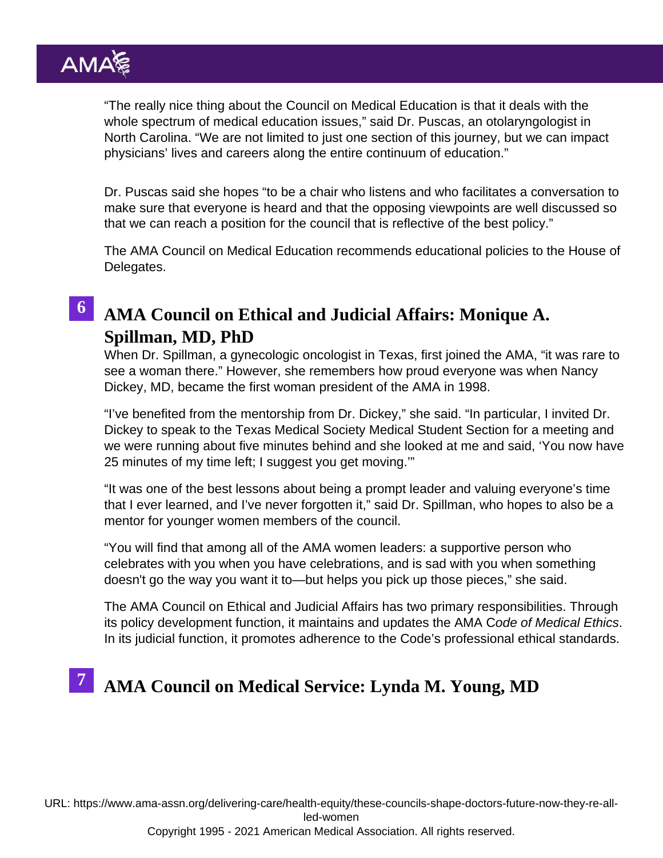"The really nice thing about the Council on Medical Education is that it deals with the whole spectrum of medical education issues," said Dr. Puscas, an otolaryngologist in North Carolina. "We are not limited to just one section of this journey, but we can impact physicians' lives and careers along the entire continuum of education."

Dr. Puscas said she hopes "to be a chair who listens and who facilitates a conversation to make sure that everyone is heard and that the opposing viewpoints are well discussed so that we can reach a position for the council that is reflective of the best policy."

The [AMA Council on Medical Education](https://www.ama-assn.org/councils/council-medical-education) recommends educational policies to the House of Delegates.

#### 6 [AMA Council on Ethical and Judicial Affairs: Monique A.](https://www.ama-assn.org/councils/council-ethical-judicial-affairs/members-council-ethical-judicial-affairs-ceja) [Spillman, MD, PhD](https://www.ama-assn.org/councils/council-ethical-judicial-affairs/members-council-ethical-judicial-affairs-ceja)

When Dr. Spillman, a gynecologic oncologist in Texas, first joined the AMA, "it was rare to see a woman there." However, she remembers how proud everyone was when Nancy Dickey, MD, became the first woman president of the AMA in 1998.

"I've benefited from the mentorship from Dr. Dickey," she said. "In particular, I invited Dr. Dickey to speak to the Texas Medical Society Medical Student Section for a meeting and we were running about five minutes behind and she looked at me and said, 'You now have 25 minutes of my time left; I suggest you get moving.'"

"It was one of the best lessons about being a prompt leader and valuing everyone's time that I ever learned, and I've never forgotten it," said Dr. Spillman, who hopes to also be a mentor for younger women members of the council.

"You will find that among all of the AMA women leaders: a supportive person who celebrates with you when you have celebrations, and is sad with you when something doesn't go the way you want it to—but helps you pick up those pieces," she said.

The [AMA Council on Ethical and Judicial Affairs](https://www.ama-assn.org/councils/council-ethical-judicial-affairs/members-council-ethical-judicial-affairs-ceja) has two primary responsibilities. Through its policy development function, it maintains and updates the [AMA Code of Medical Ethics.](https://www.ama-assn.org/delivering-care/ethics/code-medical-ethics-overview) In its [judicial function,](https://www.ama-assn.org/councils/council-ethical-judicial-affairs/judicial-function-council-ethical-judicial-affairs-ceja) it promotes adherence to the Code's professional ethical standards.

## <sup>7</sup> [AMA Council on Medical Service: Lynda M. Young, MD](https://www.ama-assn.org/councils/council-medical-service/members-council-medical-service)